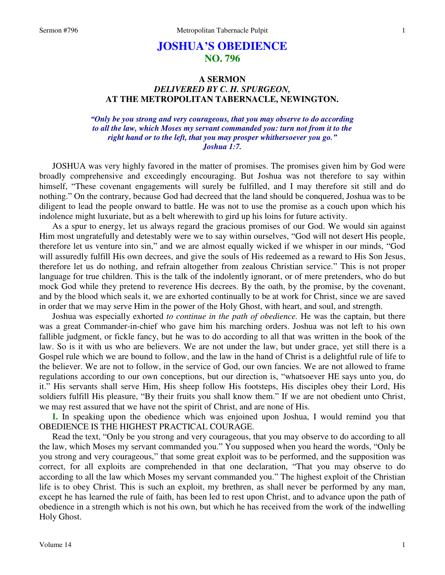# **JOSHUA'S OBEDIENCE NO. 796**

# **A SERMON**  *DELIVERED BY C. H. SPURGEON,*  **AT THE METROPOLITAN TABERNACLE, NEWINGTON.**

*"Only be you strong and very courageous, that you may observe to do according to all the law, which Moses my servant commanded you: turn not from it to the right hand or to the left, that you may prosper whithersoever you go." Joshua 1:7.* 

JOSHUA was very highly favored in the matter of promises. The promises given him by God were broadly comprehensive and exceedingly encouraging. But Joshua was not therefore to say within himself, "These covenant engagements will surely be fulfilled, and I may therefore sit still and do nothing." On the contrary, because God had decreed that the land should be conquered, Joshua was to be diligent to lead the people onward to battle. He was not to use the promise as a couch upon which his indolence might luxuriate, but as a belt wherewith to gird up his loins for future activity.

As a spur to energy, let us always regard the gracious promises of our God. We would sin against Him most ungratefully and detestably were we to say within ourselves, "God will not desert His people, therefore let us venture into sin," and we are almost equally wicked if we whisper in our minds, "God will assuredly fulfill His own decrees, and give the souls of His redeemed as a reward to His Son Jesus, therefore let us do nothing, and refrain altogether from zealous Christian service." This is not proper language for true children. This is the talk of the indolently ignorant, or of mere pretenders, who do but mock God while they pretend to reverence His decrees. By the oath, by the promise, by the covenant, and by the blood which seals it, we are exhorted continually to be at work for Christ, since we are saved in order that we may serve Him in the power of the Holy Ghost, with heart, and soul, and strength.

Joshua was especially exhorted *to continue in the path of obedience.* He was the captain, but there was a great Commander-in-chief who gave him his marching orders. Joshua was not left to his own fallible judgment, or fickle fancy, but he was to do according to all that was written in the book of the law. So is it with us who are believers. We are not under the law, but under grace, yet still there is a Gospel rule which we are bound to follow, and the law in the hand of Christ is a delightful rule of life to the believer. We are not to follow, in the service of God, our own fancies. We are not allowed to frame regulations according to our own conceptions, but our direction is, "whatsoever HE says unto you, do it." His servants shall serve Him, His sheep follow His footsteps, His disciples obey their Lord, His soldiers fulfill His pleasure, "By their fruits you shall know them." If we are not obedient unto Christ, we may rest assured that we have not the spirit of Christ, and are none of His.

**I.** In speaking upon the obedience which was enjoined upon Joshua, I would remind you that OBEDIENCE IS THE HIGHEST PRACTICAL COURAGE.

Read the text, "Only be you strong and very courageous, that you may observe to do according to all the law, which Moses my servant commanded you." You supposed when you heard the words, "Only be you strong and very courageous," that some great exploit was to be performed, and the supposition was correct, for all exploits are comprehended in that one declaration, "That you may observe to do according to all the law which Moses my servant commanded you." The highest exploit of the Christian life is to obey Christ. This is such an exploit, my brethren, as shall never be performed by any man, except he has learned the rule of faith, has been led to rest upon Christ, and to advance upon the path of obedience in a strength which is not his own, but which he has received from the work of the indwelling Holy Ghost.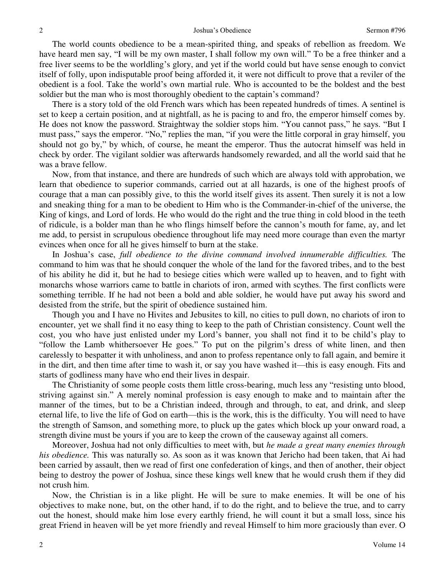The world counts obedience to be a mean-spirited thing, and speaks of rebellion as freedom. We have heard men say, "I will be my own master, I shall follow my own will." To be a free thinker and a free liver seems to be the worldling's glory, and yet if the world could but have sense enough to convict itself of folly, upon indisputable proof being afforded it, it were not difficult to prove that a reviler of the obedient is a fool. Take the world's own martial rule. Who is accounted to be the boldest and the best soldier but the man who is most thoroughly obedient to the captain's command?

There is a story told of the old French wars which has been repeated hundreds of times. A sentinel is set to keep a certain position, and at nightfall, as he is pacing to and fro, the emperor himself comes by. He does not know the password. Straightway the soldier stops him. "You cannot pass," he says. "But I must pass," says the emperor. "No," replies the man, "if you were the little corporal in gray himself, you should not go by," by which, of course, he meant the emperor. Thus the autocrat himself was held in check by order. The vigilant soldier was afterwards handsomely rewarded, and all the world said that he was a brave fellow.

Now, from that instance, and there are hundreds of such which are always told with approbation, we learn that obedience to superior commands, carried out at all hazards, is one of the highest proofs of courage that a man can possibly give, to this the world itself gives its assent. Then surely it is not a low and sneaking thing for a man to be obedient to Him who is the Commander-in-chief of the universe, the King of kings, and Lord of lords. He who would do the right and the true thing in cold blood in the teeth of ridicule, is a bolder man than he who flings himself before the cannon's mouth for fame, ay, and let me add, to persist in scrupulous obedience throughout life may need more courage than even the martyr evinces when once for all he gives himself to burn at the stake.

In Joshua's case, *full obedience to the divine command involved innumerable difficulties.* The command to him was that he should conquer the whole of the land for the favored tribes, and to the best of his ability he did it, but he had to besiege cities which were walled up to heaven, and to fight with monarchs whose warriors came to battle in chariots of iron, armed with scythes. The first conflicts were something terrible. If he had not been a bold and able soldier, he would have put away his sword and desisted from the strife, but the spirit of obedience sustained him.

Though you and I have no Hivites and Jebusites to kill, no cities to pull down, no chariots of iron to encounter, yet we shall find it no easy thing to keep to the path of Christian consistency. Count well the cost, you who have just enlisted under my Lord's banner, you shall not find it to be child's play to "follow the Lamb whithersoever He goes." To put on the pilgrim's dress of white linen, and then carelessly to bespatter it with unholiness, and anon to profess repentance only to fall again, and bemire it in the dirt, and then time after time to wash it, or say you have washed it—this is easy enough. Fits and starts of godliness many have who end their lives in despair.

The Christianity of some people costs them little cross-bearing, much less any "resisting unto blood, striving against sin." A merely nominal profession is easy enough to make and to maintain after the manner of the times, but to be a Christian indeed, through and through, to eat, and drink, and sleep eternal life, to live the life of God on earth—this is the work, this is the difficulty. You will need to have the strength of Samson, and something more, to pluck up the gates which block up your onward road, a strength divine must be yours if you are to keep the crown of the causeway against all comers.

Moreover, Joshua had not only difficulties to meet with, but *he made a great many enemies through his obedience.* This was naturally so. As soon as it was known that Jericho had been taken, that Ai had been carried by assault, then we read of first one confederation of kings, and then of another, their object being to destroy the power of Joshua, since these kings well knew that he would crush them if they did not crush him.

Now, the Christian is in a like plight. He will be sure to make enemies. It will be one of his objectives to make none, but, on the other hand, if to do the right, and to believe the true, and to carry out the honest, should make him lose every earthly friend, he will count it but a small loss, since his great Friend in heaven will be yet more friendly and reveal Himself to him more graciously than ever. O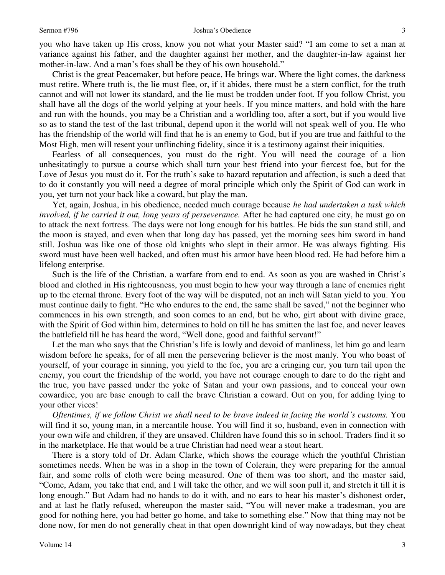you who have taken up His cross, know you not what your Master said? "I am come to set a man at variance against his father, and the daughter against her mother, and the daughter-in-law against her mother-in-law. And a man's foes shall be they of his own household."

Christ is the great Peacemaker, but before peace, He brings war. Where the light comes, the darkness must retire. Where truth is, the lie must flee, or, if it abides, there must be a stern conflict, for the truth cannot and will not lower its standard, and the lie must be trodden under foot. If you follow Christ, you shall have all the dogs of the world yelping at your heels. If you mince matters, and hold with the hare and run with the hounds, you may be a Christian and a worldling too, after a sort, but if you would live so as to stand the test of the last tribunal, depend upon it the world will not speak well of you. He who has the friendship of the world will find that he is an enemy to God, but if you are true and faithful to the Most High, men will resent your unflinching fidelity, since it is a testimony against their iniquities.

Fearless of all consequences, you must do the right. You will need the courage of a lion unhesitatingly to pursue a course which shall turn your best friend into your fiercest foe, but for the Love of Jesus you must do it. For the truth's sake to hazard reputation and affection, is such a deed that to do it constantly you will need a degree of moral principle which only the Spirit of God can work in you, yet turn not your back like a coward, but play the man.

Yet, again, Joshua, in his obedience, needed much courage because *he had undertaken a task which involved, if he carried it out, long years of perseverance.* After he had captured one city, he must go on to attack the next fortress. The days were not long enough for his battles. He bids the sun stand still, and the moon is stayed, and even when that long day has passed, yet the morning sees him sword in hand still. Joshua was like one of those old knights who slept in their armor. He was always fighting. His sword must have been well hacked, and often must his armor have been blood red. He had before him a lifelong enterprise.

Such is the life of the Christian, a warfare from end to end. As soon as you are washed in Christ's blood and clothed in His righteousness, you must begin to hew your way through a lane of enemies right up to the eternal throne. Every foot of the way will be disputed, not an inch will Satan yield to you. You must continue daily to fight. "He who endures to the end, the same shall be saved," not the beginner who commences in his own strength, and soon comes to an end, but he who, girt about with divine grace, with the Spirit of God within him, determines to hold on till he has smitten the last foe, and never leaves the battlefield till he has heard the word, "Well done, good and faithful servant!"

Let the man who says that the Christian's life is lowly and devoid of manliness, let him go and learn wisdom before he speaks, for of all men the persevering believer is the most manly. You who boast of yourself, of your courage in sinning, you yield to the foe, you are a cringing cur, you turn tail upon the enemy, you court the friendship of the world, you have not courage enough to dare to do the right and the true, you have passed under the yoke of Satan and your own passions, and to conceal your own cowardice, you are base enough to call the brave Christian a coward. Out on you, for adding lying to your other vices!

*Oftentimes, if we follow Christ we shall need to be brave indeed in facing the world's customs.* You will find it so, young man, in a mercantile house. You will find it so, husband, even in connection with your own wife and children, if they are unsaved. Children have found this so in school. Traders find it so in the marketplace. He that would be a true Christian had need wear a stout heart.

There is a story told of Dr. Adam Clarke, which shows the courage which the youthful Christian sometimes needs. When he was in a shop in the town of Colerain, they were preparing for the annual fair, and some rolls of cloth were being measured. One of them was too short, and the master said, "Come, Adam, you take that end, and I will take the other, and we will soon pull it, and stretch it till it is long enough." But Adam had no hands to do it with, and no ears to hear his master's dishonest order, and at last he flatly refused, whereupon the master said, "You will never make a tradesman, you are good for nothing here, you had better go home, and take to something else." Now that thing may not be done now, for men do not generally cheat in that open downright kind of way nowadays, but they cheat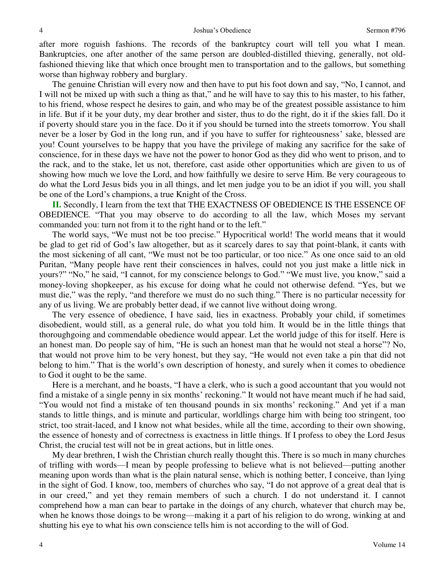after more roguish fashions. The records of the bankruptcy court will tell you what I mean. Bankruptcies, one after another of the same person are doubled-distilled thieving, generally, not oldfashioned thieving like that which once brought men to transportation and to the gallows, but something worse than highway robbery and burglary.

The genuine Christian will every now and then have to put his foot down and say, "No, I cannot, and I will not be mixed up with such a thing as that," and he will have to say this to his master, to his father, to his friend, whose respect he desires to gain, and who may be of the greatest possible assistance to him in life. But if it be your duty, my dear brother and sister, thus to do the right, do it if the skies fall. Do it if poverty should stare you in the face. Do it if you should be turned into the streets tomorrow. You shall never be a loser by God in the long run, and if you have to suffer for righteousness' sake, blessed are you! Count yourselves to be happy that you have the privilege of making any sacrifice for the sake of conscience, for in these days we have not the power to honor God as they did who went to prison, and to the rack, and to the stake, let us not, therefore, cast aside other opportunities which are given to us of showing how much we love the Lord, and how faithfully we desire to serve Him. Be very courageous to do what the Lord Jesus bids you in all things, and let men judge you to be an idiot if you will, you shall be one of the Lord's champions, a true Knight of the Cross.

**II.** Secondly, I learn from the text that THE EXACTNESS OF OBEDIENCE IS THE ESSENCE OF OBEDIENCE. "That you may observe to do according to all the law, which Moses my servant commanded you: turn not from it to the right hand or to the left."

The world says, "We must not be too precise." Hypocritical world! The world means that it would be glad to get rid of God's law altogether, but as it scarcely dares to say that point-blank, it cants with the most sickening of all cant, "We must not be too particular, or too nice." As one once said to an old Puritan, "Many people have rent their consciences in halves, could not you just make a little nick in yours?" "No," he said, "I cannot, for my conscience belongs to God." "We must live, you know," said a money-loving shopkeeper, as his excuse for doing what he could not otherwise defend. "Yes, but we must die," was the reply, "and therefore we must do no such thing." There is no particular necessity for any of us living. We are probably better dead, if we cannot live without doing wrong.

The very essence of obedience, I have said, lies in exactness. Probably your child, if sometimes disobedient, would still, as a general rule, do what you told him. It would be in the little things that thoroughgoing and commendable obedience would appear. Let the world judge of this for itself. Here is an honest man. Do people say of him, "He is such an honest man that he would not steal a horse"? No, that would not prove him to be very honest, but they say, "He would not even take a pin that did not belong to him." That is the world's own description of honesty, and surely when it comes to obedience to God it ought to be the same.

Here is a merchant, and he boasts, "I have a clerk, who is such a good accountant that you would not find a mistake of a single penny in six months' reckoning." It would not have meant much if he had said, "You would not find a mistake of ten thousand pounds in six months' reckoning." And yet if a man stands to little things, and is minute and particular, worldlings charge him with being too stringent, too strict, too strait-laced, and I know not what besides, while all the time, according to their own showing, the essence of honesty and of correctness is exactness in little things. If I profess to obey the Lord Jesus Christ, the crucial test will not be in great actions, but in little ones.

My dear brethren, I wish the Christian church really thought this. There is so much in many churches of trifling with words—I mean by people professing to believe what is not believed—putting another meaning upon words than what is the plain natural sense, which is nothing better, I conceive, than lying in the sight of God. I know, too, members of churches who say, "I do not approve of a great deal that is in our creed," and yet they remain members of such a church. I do not understand it. I cannot comprehend how a man can bear to partake in the doings of any church, whatever that church may be, when he knows those doings to be wrong—making it a part of his religion to do wrong, winking at and shutting his eye to what his own conscience tells him is not according to the will of God.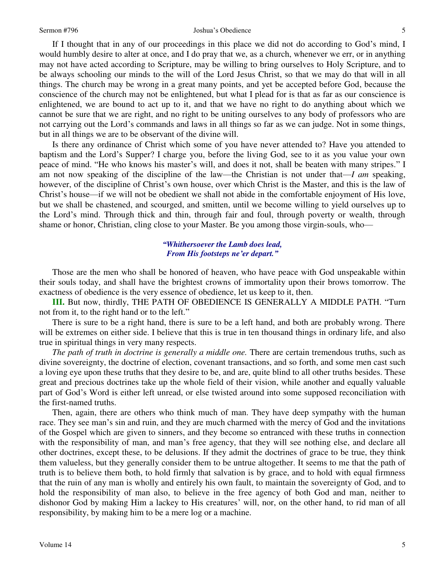#### Sermon #796 Joshua's Obedience

If I thought that in any of our proceedings in this place we did not do according to God's mind, I would humbly desire to alter at once, and I do pray that we, as a church, whenever we err, or in anything may not have acted according to Scripture, may be willing to bring ourselves to Holy Scripture, and to be always schooling our minds to the will of the Lord Jesus Christ, so that we may do that will in all things. The church may be wrong in a great many points, and yet be accepted before God, because the conscience of the church may not be enlightened, but what I plead for is that as far as our conscience is enlightened, we are bound to act up to it, and that we have no right to do anything about which we cannot be sure that we are right, and no right to be uniting ourselves to any body of professors who are not carrying out the Lord's commands and laws in all things so far as we can judge. Not in some things, but in all things we are to be observant of the divine will.

Is there any ordinance of Christ which some of you have never attended to? Have you attended to baptism and the Lord's Supper? I charge you, before the living God, see to it as you value your own peace of mind. "He who knows his master's will, and does it not, shall be beaten with many stripes." I am not now speaking of the discipline of the law—the Christian is not under that—*I am* speaking, however, of the discipline of Christ's own house, over which Christ is the Master, and this is the law of Christ's house—if we will not be obedient we shall not abide in the comfortable enjoyment of His love, but we shall be chastened, and scourged, and smitten, until we become willing to yield ourselves up to the Lord's mind. Through thick and thin, through fair and foul, through poverty or wealth, through shame or honor, Christian, cling close to your Master. Be you among those virgin-souls, who—

### *"Whithersoever the Lamb does lead, From His footsteps ne'er depart."*

Those are the men who shall be honored of heaven, who have peace with God unspeakable within their souls today, and shall have the brightest crowns of immortality upon their brows tomorrow. The exactness of obedience is the very essence of obedience, let us keep to it, then.

**III.** But now, thirdly, THE PATH OF OBEDIENCE IS GENERALLY A MIDDLE PATH. "Turn not from it, to the right hand or to the left."

There is sure to be a right hand, there is sure to be a left hand, and both are probably wrong. There will be extremes on either side. I believe that this is true in ten thousand things in ordinary life, and also true in spiritual things in very many respects.

*The path of truth in doctrine is generally a middle one.* There are certain tremendous truths, such as divine sovereignty, the doctrine of election, covenant transactions, and so forth, and some men cast such a loving eye upon these truths that they desire to be, and are, quite blind to all other truths besides. These great and precious doctrines take up the whole field of their vision, while another and equally valuable part of God's Word is either left unread, or else twisted around into some supposed reconciliation with the first-named truths.

Then, again, there are others who think much of man. They have deep sympathy with the human race. They see man's sin and ruin, and they are much charmed with the mercy of God and the invitations of the Gospel which are given to sinners, and they become so entranced with these truths in connection with the responsibility of man, and man's free agency, that they will see nothing else, and declare all other doctrines, except these, to be delusions. If they admit the doctrines of grace to be true, they think them valueless, but they generally consider them to be untrue altogether. It seems to me that the path of truth is to believe them both, to hold firmly that salvation is by grace, and to hold with equal firmness that the ruin of any man is wholly and entirely his own fault, to maintain the sovereignty of God, and to hold the responsibility of man also, to believe in the free agency of both God and man, neither to dishonor God by making Him a lackey to His creatures' will, nor, on the other hand, to rid man of all responsibility, by making him to be a mere log or a machine.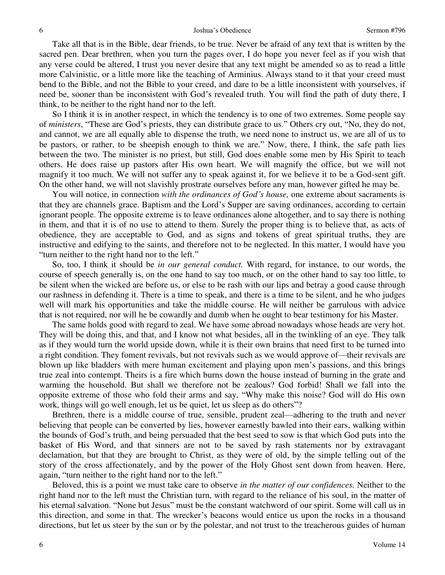Take all that is in the Bible, dear friends, to be true. Never be afraid of any text that is written by the sacred pen. Dear brethren, when you turn the pages over, I do hope you never feel as if you wish that any verse could be altered, I trust you never desire that any text might be amended so as to read a little more Calvinistic, or a little more like the teaching of Arminius. Always stand to it that your creed must bend to the Bible, and not the Bible to your creed, and dare to be a little inconsistent with yourselves, if need be, sooner than be inconsistent with God's revealed truth. You will find the path of duty there, I think, to be neither to the right hand nor to the left.

So I think it is in another respect, in which the tendency is to one of two extremes. Some people say of *ministers*, "These are God's priests, they can distribute grace to us." Others cry out, "No, they do not, and cannot, we are all equally able to dispense the truth, we need none to instruct us, we are all of us to be pastors, or rather, to be sheepish enough to think we are." Now, there, I think, the safe path lies between the two. The minister is no priest, but still, God does enable some men by His Spirit to teach others. He does raise up pastors after His own heart. We will magnify the office, but we will not magnify it too much. We will not suffer any to speak against it, for we believe it to be a God-sent gift. On the other hand, we will not slavishly prostrate ourselves before any man, however gifted he may be.

You will notice, in connection *with the ordinances of God's house,* one extreme about sacraments is that they are channels grace. Baptism and the Lord's Supper are saving ordinances, according to certain ignorant people. The opposite extreme is to leave ordinances alone altogether, and to say there is nothing in them, and that it is of no use to attend to them. Surely the proper thing is to believe that, as acts of obedience, they are acceptable to God, and as signs and tokens of great spiritual truths, they are instructive and edifying to the saints, and therefore not to be neglected. In this matter, I would have you "turn neither to the right hand nor to the left."

So, too, I think it should be *in our general conduct.* With regard, for instance, to our words, the course of speech generally is, on the one hand to say too much, or on the other hand to say too little, to be silent when the wicked are before us, or else to be rash with our lips and betray a good cause through our rashness in defending it. There is a time to speak, and there is a time to be silent, and he who judges well will mark his opportunities and take the middle course. He will neither be garrulous with advice that is not required, nor will he be cowardly and dumb when he ought to bear testimony for his Master.

The same holds good with regard to zeal. We have some abroad nowadays whose heads are very hot. They will be doing this, and that, and I know not what besides, all in the twinkling of an eye. They talk as if they would turn the world upside down, while it is their own brains that need first to be turned into a right condition. They foment revivals, but not revivals such as we would approve of—their revivals are blown up like bladders with mere human excitement and playing upon men's passions, and this brings true zeal into contempt. Theirs is a fire which burns down the house instead of burning in the grate and warming the household. But shall we therefore not be zealous? God forbid! Shall we fall into the opposite extreme of those who fold their arms and say, "Why make this noise? God will do His own work, things will go well enough, let us be quiet, let us sleep as do others"?

Brethren, there is a middle course of true, sensible, prudent zeal—adhering to the truth and never believing that people can be converted by lies, however earnestly bawled into their ears, walking within the bounds of God's truth, and being persuaded that the best seed to sow is that which God puts into the basket of His Word, and that sinners are not to be saved by rash statements nor by extravagant declamation, but that they are brought to Christ, as they were of old, by the simple telling out of the story of the cross affectionately, and by the power of the Holy Ghost sent down from heaven. Here, again, "turn neither to the right hand nor to the left."

Beloved, this is a point we must take care to observe *in the matter of our confidences.* Neither to the right hand nor to the left must the Christian turn, with regard to the reliance of his soul, in the matter of his eternal salvation. "None but Jesus" must be the constant watchword of our spirit. Some will call us in this direction, and some in that. The wrecker's beacons would entice us upon the rocks in a thousand directions, but let us steer by the sun or by the polestar, and not trust to the treacherous guides of human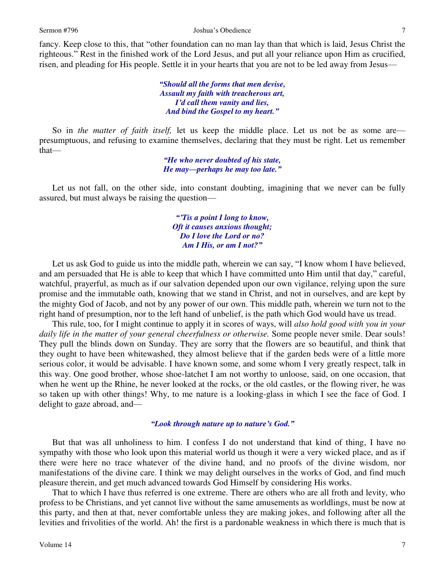fancy. Keep close to this, that "other foundation can no man lay than that which is laid, Jesus Christ the righteous." Rest in the finished work of the Lord Jesus, and put all your reliance upon Him as crucified, risen, and pleading for His people. Settle it in your hearts that you are not to be led away from Jesus—

> *"Should all the forms that men devise, Assault my faith with treacherous art, I'd call them vanity and lies, And bind the Gospel to my heart."*

So in *the matter of faith itself,* let us keep the middle place. Let us not be as some are presumptuous, and refusing to examine themselves, declaring that they must be right. Let us remember that—

> *"He who never doubted of his state, He may—perhaps he may too late."*

Let us not fall, on the other side, into constant doubting, imagining that we never can be fully assured, but must always be raising the question—

> *"'Tis a point I long to know, Oft it causes anxious thought; Do I love the Lord or no? Am I His, or am I not?"*

Let us ask God to guide us into the middle path, wherein we can say, "I know whom I have believed, and am persuaded that He is able to keep that which I have committed unto Him until that day," careful, watchful, prayerful, as much as if our salvation depended upon our own vigilance, relying upon the sure promise and the immutable oath, knowing that we stand in Christ, and not in ourselves, and are kept by the mighty God of Jacob, and not by any power of our own. This middle path, wherein we turn not to the right hand of presumption, nor to the left hand of unbelief, is the path which God would have us tread.

 This rule, too, for I might continue to apply it in scores of ways, will *also hold good with you in your daily life in the matter of your general cheerfulness or otherwise.* Some people never smile. Dear souls! They pull the blinds down on Sunday. They are sorry that the flowers are so beautiful, and think that they ought to have been whitewashed, they almost believe that if the garden beds were of a little more serious color, it would be advisable. I have known some, and some whom I very greatly respect, talk in this way. One good brother, whose shoe-latchet I am not worthy to unloose, said, on one occasion, that when he went up the Rhine, he never looked at the rocks, or the old castles, or the flowing river, he was so taken up with other things! Why, to me nature is a looking-glass in which I see the face of God. I delight to gaze abroad, and—

### *"Look through nature up to nature's God."*

But that was all unholiness to him. I confess I do not understand that kind of thing, I have no sympathy with those who look upon this material world us though it were a very wicked place, and as if there were here no trace whatever of the divine hand, and no proofs of the divine wisdom, nor manifestations of the divine care. I think we may delight ourselves in the works of God, and find much pleasure therein, and get much advanced towards God Himself by considering His works.

That to which I have thus referred is one extreme. There are others who are all froth and levity, who profess to be Christians, and yet cannot live without the same amusements as worldlings, must be now at this party, and then at that, never comfortable unless they are making jokes, and following after all the levities and frivolities of the world. Ah! the first is a pardonable weakness in which there is much that is

7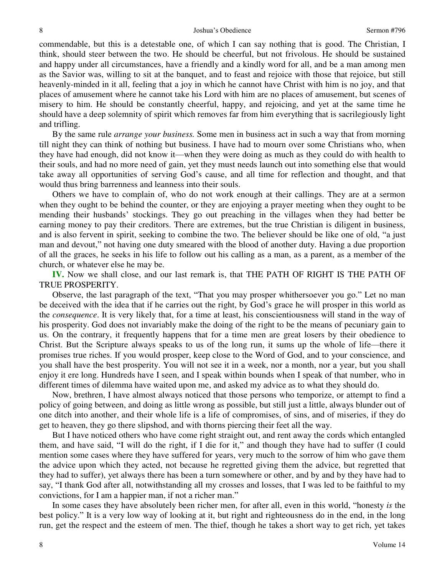commendable, but this is a detestable one, of which I can say nothing that is good. The Christian, I think, should steer between the two. He should be cheerful, but not frivolous. He should be sustained and happy under all circumstances, have a friendly and a kindly word for all, and be a man among men as the Savior was, willing to sit at the banquet, and to feast and rejoice with those that rejoice, but still heavenly-minded in it all, feeling that a joy in which he cannot have Christ with him is no joy, and that places of amusement where he cannot take his Lord with him are no places of amusement, but scenes of misery to him. He should be constantly cheerful, happy, and rejoicing, and yet at the same time he should have a deep solemnity of spirit which removes far from him everything that is sacrilegiously light and trifling.

By the same rule *arrange your business.* Some men in business act in such a way that from morning till night they can think of nothing but business. I have had to mourn over some Christians who, when they have had enough, did not know it—when they were doing as much as they could do with health to their souls, and had no more need of gain, yet they must needs launch out into something else that would take away all opportunities of serving God's cause, and all time for reflection and thought, and that would thus bring barrenness and leanness into their souls.

Others we have to complain of, who do not work enough at their callings. They are at a sermon when they ought to be behind the counter, or they are enjoying a prayer meeting when they ought to be mending their husbands' stockings. They go out preaching in the villages when they had better be earning money to pay their creditors. There are extremes, but the true Christian is diligent in business, and is also fervent in spirit, seeking to combine the two. The believer should be like one of old, "a just man and devout," not having one duty smeared with the blood of another duty. Having a due proportion of all the graces, he seeks in his life to follow out his calling as a man, as a parent, as a member of the church, or whatever else he may be.

**IV.** Now we shall close, and our last remark is, that THE PATH OF RIGHT IS THE PATH OF TRUE PROSPERITY.

Observe, the last paragraph of the text, "That you may prosper whithersoever you go." Let no man be deceived with the idea that if he carries out the right, by God's grace he will prosper in this world as the *consequence*. It is very likely that, for a time at least, his conscientiousness will stand in the way of his prosperity. God does not invariably make the doing of the right to be the means of pecuniary gain to us. On the contrary, it frequently happens that for a time men are great losers by their obedience to Christ. But the Scripture always speaks to us of the long run, it sums up the whole of life—there it promises true riches. If you would prosper, keep close to the Word of God, and to your conscience, and you shall have the best prosperity. You will not see it in a week, nor a month, nor a year, but you shall enjoy it ere long. Hundreds have I seen, and I speak within bounds when I speak of that number, who in different times of dilemma have waited upon me, and asked my advice as to what they should do.

Now, brethren, I have almost always noticed that those persons who temporize, or attempt to find a policy of going between, and doing as little wrong as possible, but still just a little, always blunder out of one ditch into another, and their whole life is a life of compromises, of sins, and of miseries, if they do get to heaven, they go there slipshod, and with thorns piercing their feet all the way.

But I have noticed others who have come right straight out, and rent away the cords which entangled them, and have said, "I will do the right, if I die for it," and though they have had to suffer (I could mention some cases where they have suffered for years, very much to the sorrow of him who gave them the advice upon which they acted, not because he regretted giving them the advice, but regretted that they had to suffer), yet always there has been a turn somewhere or other, and by and by they have had to say, "I thank God after all, notwithstanding all my crosses and losses, that I was led to be faithful to my convictions, for I am a happier man, if not a richer man."

In some cases they have absolutely been richer men, for after all, even in this world, "honesty *is* the best policy." It is a very low way of looking at it, but right and righteousness do in the end, in the long run, get the respect and the esteem of men. The thief, though he takes a short way to get rich, yet takes

8